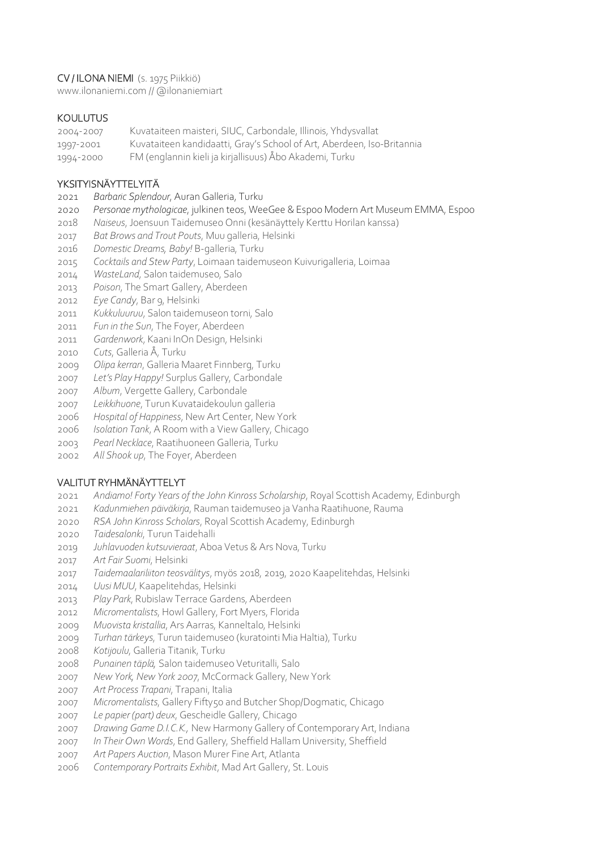## CV / ILONA NIEMI (s. 1975 Piikkiö)

www.ilonaniemi.com // @ilonaniemiart

### **KOULUTUS**

2004-2007 Kuvataiteen maisteri, SIUC, Carbondale, Illinois, Yhdysvallat

- 1997-2001 Kuvataiteen kandidaatti, Gray's School of Art, Aberdeen, Iso-Britannia
- 1994-2000 FM (englannin kieli ja kirjallisuus) Åbo Akademi, Turku

## YKSITYISNÄYTTELYITÄ

- *Barbaric Splendour*, Auran Galleria, Turku
- *Personae mythologicae*, julkinen teos, WeeGee & Espoo Modern Art Museum EMMA, Espoo
- *Naiseus*, Joensuun Taidemuseo Onni (kesänäyttely Kerttu Horilan kanssa)
- *Bat Brows and Trout Pouts*, Muu galleria, Helsinki
- *Domestic Dreams, Baby!* B-galleria, Turku
- *Cocktails and Stew Party*, Loimaan taidemuseon Kuivurigalleria, Loimaa
- *WasteLand*, Salon taidemuseo, Salo
- *Poison*, The Smart Gallery, Aberdeen
- *Eye Candy*, Bar 9, Helsinki
- *Kukkuluuruu*, Salon taidemuseon torni, Salo
- *Fun in the Sun*, The Foyer, Aberdeen
- *Gardenwork*, Kaani InOn Design, Helsinki
- *Cuts*, Galleria Å, Turku
- *Olipa kerran*, Galleria Maaret Finnberg, Turku
- *Let's Play Happy!* Surplus Gallery, Carbondale
- *Album*, Vergette Gallery, Carbondale
- *Leikkihuone*, Turun Kuvataidekoulun galleria
- *Hospital of Happiness*, New Art Center, New York
- *Isolation Tank*, A Room with a View Gallery, Chicago
- *Pearl Necklace*, Raatihuoneen Galleria, Turku
- *All Shook up*, The Foyer, Aberdeen

# VALITUT RYHMÄNÄYTTELYT

- *Andiamo! Forty Years of the John Kinross Scholarship*, Royal Scottish Academy, Edinburgh
- *Kadunmiehen päiväkirja*, Rauman taidemuseo ja Vanha Raatihuone, Rauma
- *RSA John Kinross Scholars*, Royal Scottish Academy, Edinburgh
- *Taidesalonki*, Turun Taidehalli
- *Juhlavuoden kutsuvieraat*, Aboa Vetus & Ars Nova, Turku
- *Art Fair Suomi*, Helsinki
- *Taidemaalariliiton teosvälitys*, myös 2018, 2019, 2020 Kaapelitehdas, Helsinki
- *Uusi MUU*, Kaapelitehdas, Helsinki
- *Play Park*, Rubislaw Terrace Gardens, Aberdeen
- *Micromentalists*, Howl Gallery, Fort Myers, Florida
- *Muovista kristallia*, Ars Aarras, Kanneltalo, Helsinki
- *Turhan tärkeys*, Turun taidemuseo (kuratointi Mia Haltia), Turku
- *Kotijoulu*, Galleria Titanik, Turku
- *Punainen täplä,* Salon taidemuseo Veturitalli, Salo
- *New York, New York 2007*, McCormack Gallery, New York
- *Art Process Trapani*, Trapani, Italia
- *Micromentalists*, Gallery Fifty50 and Butcher Shop/Dogmatic, Chicago
- *Le papier (part) deux*, Gescheidle Gallery, Chicago
- *Drawing Game D.I.C.K.,* New Harmony Gallery of Contemporary Art, Indiana
- *In Their Own Words*, End Gallery, Sheffield Hallam University, Sheffield
- *Art Papers Auction*, Mason Murer Fine Art, Atlanta
- *Contemporary Portraits Exhibit*, Mad Art Gallery, St. Louis